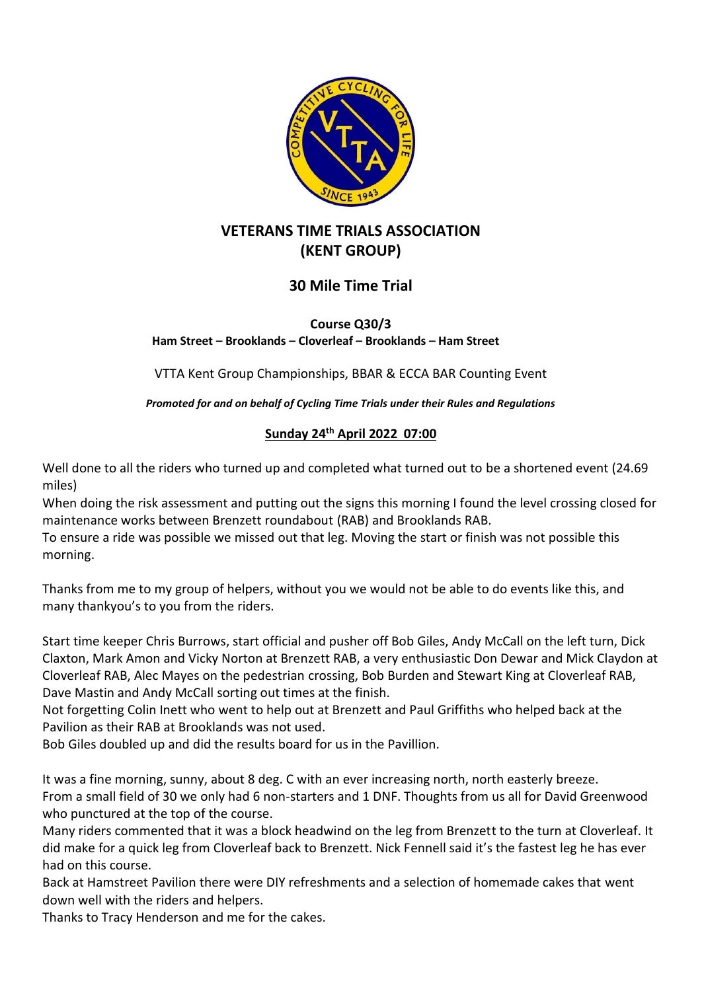

# **VETERANS TIME TRIALS ASSOCIATION (KENT GROUP)**

## **30 Mile Time Trial**

**Course Q30/3 Ham Street – Brooklands – Cloverleaf – Brooklands – Ham Street**

VTTA Kent Group Championships, BBAR & ECCA BAR Counting Event

*Promoted for and on behalf of Cycling Time Trials under their Rules and Regulations*

### **Sunday 24th April 2022 07:00**

Well done to all the riders who turned up and completed what turned out to be a shortened event (24.69 miles)

When doing the risk assessment and putting out the signs this morning I found the level crossing closed for maintenance works between Brenzett roundabout (RAB) and Brooklands RAB.

To ensure a ride was possible we missed out that leg. Moving the start or finish was not possible this morning.

Thanks from me to my group of helpers, without you we would not be able to do events like this, and many thankyou's to you from the riders.

Start time keeper Chris Burrows, start official and pusher off Bob Giles, Andy McCall on the left turn, Dick Claxton, Mark Amon and Vicky Norton at Brenzett RAB, a very enthusiastic Don Dewar and Mick Claydon at Cloverleaf RAB, Alec Mayes on the pedestrian crossing, Bob Burden and Stewart King at Cloverleaf RAB, Dave Mastin and Andy McCall sorting out times at the finish.

Not forgetting Colin Inett who went to help out at Brenzett and Paul Griffiths who helped back at the Pavilion as their RAB at Brooklands was not used.

Bob Giles doubled up and did the results board for us in the Pavillion.

It was a fine morning, sunny, about 8 deg. C with an ever increasing north, north easterly breeze. From a small field of 30 we only had 6 non-starters and 1 DNF. Thoughts from us all for David Greenwood who punctured at the top of the course.

Many riders commented that it was a block headwind on the leg from Brenzett to the turn at Cloverleaf. It did make for a quick leg from Cloverleaf back to Brenzett. Nick Fennell said it's the fastest leg he has ever had on this course.

Back at Hamstreet Pavilion there were DIY refreshments and a selection of homemade cakes that went down well with the riders and helpers.

Thanks to Tracy Henderson and me for the cakes.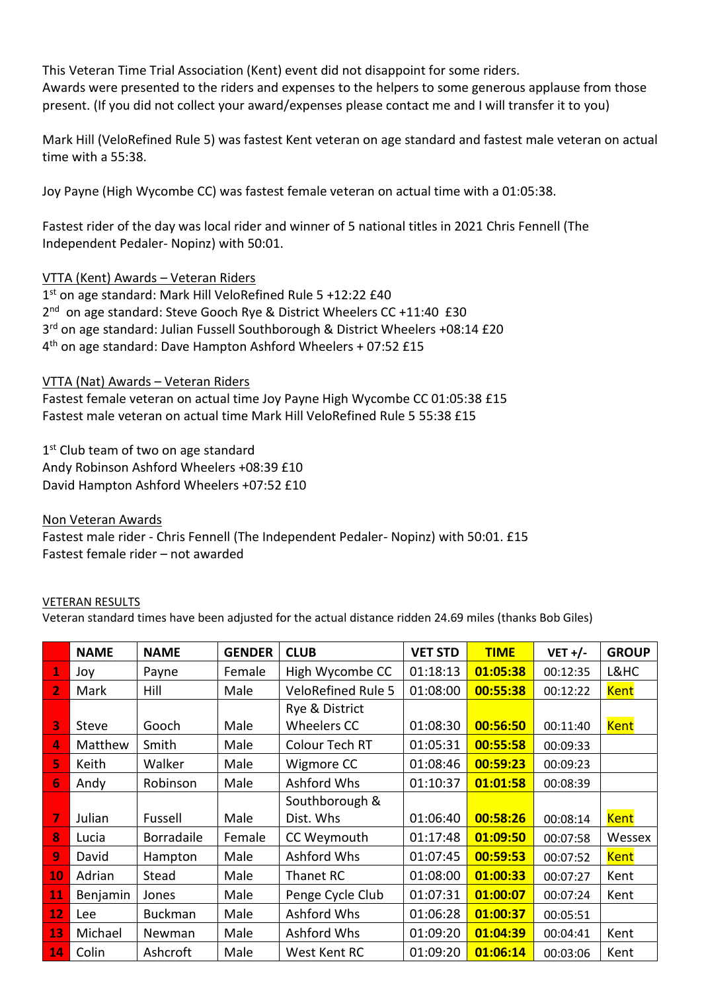This Veteran Time Trial Association (Kent) event did not disappoint for some riders. Awards were presented to the riders and expenses to the helpers to some generous applause from those present. (If you did not collect your award/expenses please contact me and I will transfer it to you)

Mark Hill (VeloRefined Rule 5) was fastest Kent veteran on age standard and fastest male veteran on actual time with a 55:38.

Joy Payne (High Wycombe CC) was fastest female veteran on actual time with a 01:05:38.

Fastest rider of the day was local rider and winner of 5 national titles in 2021 Chris Fennell (The Independent Pedaler- Nopinz) with 50:01.

#### VTTA (Kent) Awards – Veteran Riders

1<sup>st</sup> on age standard: Mark Hill VeloRefined Rule 5 +12:22 £40 2<sup>nd</sup> on age standard: Steve Gooch Rye & District Wheelers CC +11:40 £30 3<sup>rd</sup> on age standard: Julian Fussell Southborough & District Wheelers +08:14 £20 4 th on age standard: Dave Hampton Ashford Wheelers + 07:52 £15

#### VTTA (Nat) Awards – Veteran Riders

Fastest female veteran on actual time Joy Payne High Wycombe CC 01:05:38 £15 Fastest male veteran on actual time Mark Hill VeloRefined Rule 5 55:38 £15

1<sup>st</sup> Club team of two on age standard Andy Robinson Ashford Wheelers +08:39 £10 David Hampton Ashford Wheelers +07:52 £10

Non Veteran Awards Fastest male rider - Chris Fennell (The Independent Pedaler- Nopinz) with 50:01. £15 Fastest female rider – not awarded

#### VETERAN RESULTS

Veteran standard times have been adjusted for the actual distance ridden 24.69 miles (thanks Bob Giles)

|                | <b>NAME</b> | <b>NAME</b>       | <b>GENDER</b> | <b>CLUB</b>               | <b>VET STD</b> | <b>TIME</b> | $VET +/-$ | <b>GROUP</b> |
|----------------|-------------|-------------------|---------------|---------------------------|----------------|-------------|-----------|--------------|
| 1              | Joy         | Payne             | Female        | High Wycombe CC           | 01:18:13       | 01:05:38    | 00:12:35  | L&HC         |
| $\overline{2}$ | Mark        | Hill              | Male          | <b>VeloRefined Rule 5</b> | 01:08:00       | 00:55:38    | 00:12:22  | <b>Kent</b>  |
|                |             |                   |               | Rye & District            |                |             |           |              |
| 3              | Steve       | Gooch             | Male          | <b>Wheelers CC</b>        | 01:08:30       | 00:56:50    | 00:11:40  | Kent         |
| 4              | Matthew     | Smith             | Male          | Colour Tech RT            | 01:05:31       | 00:55:58    | 00:09:33  |              |
| 5              | Keith       | Walker            | Male          | Wigmore CC                | 01:08:46       | 00:59:23    | 00:09:23  |              |
| 6              | Andy        | Robinson          | Male          | Ashford Whs               | 01:10:37       | 01:01:58    | 00:08:39  |              |
|                |             |                   |               | Southborough &            |                |             |           |              |
| 7              | Julian      | Fussell           | Male          | Dist. Whs                 | 01:06:40       | 00:58:26    | 00:08:14  | Kent         |
| 8              | Lucia       | <b>Borradaile</b> | Female        | CC Weymouth               | 01:17:48       | 01:09:50    | 00:07:58  | Wessex       |
| 9              | David       | Hampton           | Male          | Ashford Whs               | 01:07:45       | 00:59:53    | 00:07:52  | <b>Kent</b>  |
| 10             | Adrian      | Stead             | Male          | Thanet RC                 | 01:08:00       | 01:00:33    | 00:07:27  | Kent         |
| 11             | Benjamin    | Jones             | Male          | Penge Cycle Club          | 01:07:31       | 01:00:07    | 00:07:24  | Kent         |
| 12             | Lee         | <b>Buckman</b>    | Male          | Ashford Whs               | 01:06:28       | 01:00:37    | 00:05:51  |              |
| 13             | Michael     | Newman            | Male          | Ashford Whs               | 01:09:20       | 01:04:39    | 00:04:41  | Kent         |
| 14             | Colin       | Ashcroft          | Male          | West Kent RC              | 01:09:20       | 01:06:14    | 00:03:06  | Kent         |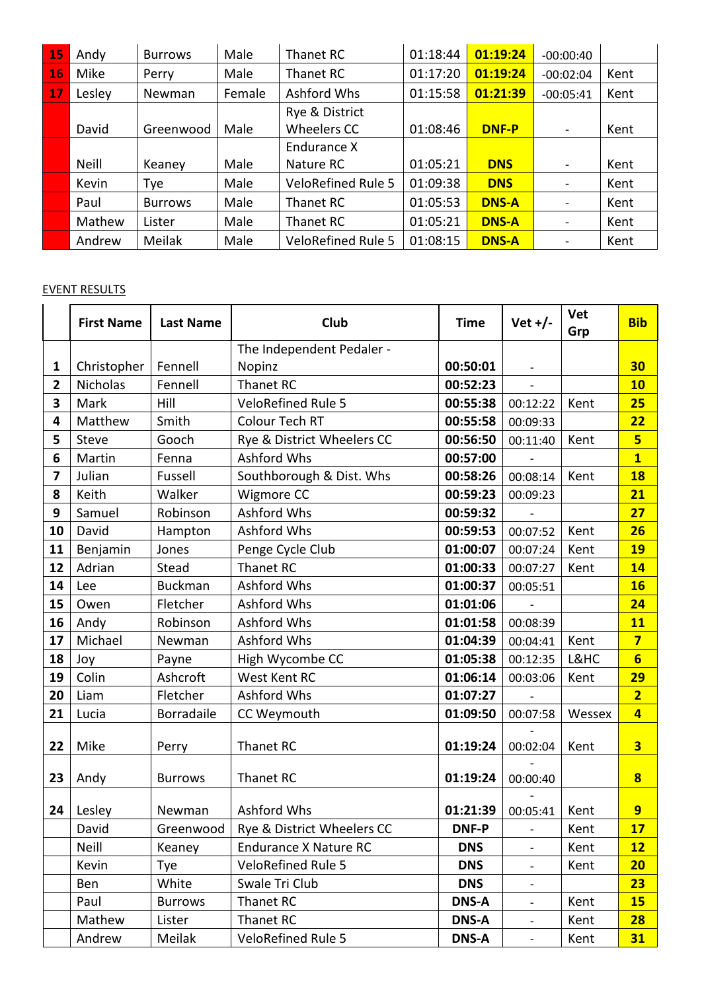| 15 | Andy   | <b>Burrows</b> | Male   | Thanet RC                 | 01:18:44 | 01:19:24     | $-00:00:40$              |      |
|----|--------|----------------|--------|---------------------------|----------|--------------|--------------------------|------|
| 16 | Mike   | Perry          | Male   | Thanet RC                 | 01:17:20 | 01:19:24     | $-00:02:04$              | Kent |
| 17 | Lesley | Newman         | Female | Ashford Whs               | 01:15:58 | 01:21:39     | $-00:05:41$              | Kent |
|    |        |                |        | Rye & District            |          |              |                          |      |
|    | David  | Greenwood      | Male   | Wheelers CC               | 01:08:46 | <b>DNF-P</b> | $\overline{\phantom{a}}$ | Kent |
|    |        |                |        | Endurance X               |          |              |                          |      |
|    | Neill  | Keaney         | Male   | Nature RC                 | 01:05:21 | <b>DNS</b>   |                          | Kent |
|    | Kevin  | Tye            | Male   | <b>VeloRefined Rule 5</b> | 01:09:38 | <b>DNS</b>   | $\overline{\phantom{a}}$ | Kent |
|    | Paul   | <b>Burrows</b> | Male   | Thanet RC                 | 01:05:53 | <b>DNS-A</b> |                          | Kent |
|    | Mathew | Lister         | Male   | Thanet RC                 | 01:05:21 | <b>DNS-A</b> | -                        | Kent |
|    | Andrew | Meilak         | Male   | <b>VeloRefined Rule 5</b> | 01:08:15 | <b>DNS-A</b> | -                        | Kent |

### EVENT RESULTS

|                         | <b>First Name</b> | <b>Last Name</b> | Club                         | <b>Time</b>  | Vet $+/-$                | Vet<br>Grp | <b>Bib</b>              |
|-------------------------|-------------------|------------------|------------------------------|--------------|--------------------------|------------|-------------------------|
|                         |                   |                  | The Independent Pedaler -    |              |                          |            |                         |
| $\mathbf{1}$            | Christopher       | Fennell          | Nopinz                       | 00:50:01     |                          |            | 30                      |
| $\overline{2}$          | <b>Nicholas</b>   | Fennell          | Thanet RC                    | 00:52:23     | $\overline{a}$           |            | <b>10</b>               |
| $\overline{\mathbf{3}}$ | Mark              | Hill             | <b>VeloRefined Rule 5</b>    | 00:55:38     | 00:12:22                 | Kent       | 25                      |
| $\overline{\mathbf{4}}$ | Matthew           | Smith            | Colour Tech RT               | 00:55:58     | 00:09:33                 |            | 22                      |
| 5                       | Steve             | Gooch            | Rye & District Wheelers CC   | 00:56:50     | 00:11:40                 | Kent       | 5                       |
| 6                       | Martin            | Fenna            | Ashford Whs                  | 00:57:00     |                          |            | $\overline{\mathbf{1}}$ |
| $\overline{ }$          | Julian            | Fussell          | Southborough & Dist. Whs     | 00:58:26     | 00:08:14                 | Kent       | <b>18</b>               |
| 8                       | Keith             | Walker           | 00:59:23<br>Wigmore CC       |              | 00:09:23                 |            | 21                      |
| 9                       | Samuel            | Robinson         | Ashford Whs                  | 00:59:32     |                          |            | 27                      |
| 10                      | David             | Hampton          | Ashford Whs                  | 00:59:53     | 00:07:52                 | Kent       | 26                      |
| 11                      | Benjamin          | Jones            | Penge Cycle Club             | 01:00:07     | 00:07:24                 | Kent       | <b>19</b>               |
| 12                      | Adrian            | Stead            | Thanet RC                    | 01:00:33     | 00:07:27                 | Kent       | 14                      |
| 14                      | Lee               | <b>Buckman</b>   | Ashford Whs                  | 01:00:37     | 00:05:51                 |            | <b>16</b>               |
| 15                      | Owen              | Fletcher         | Ashford Whs                  | 01:01:06     |                          |            | 24                      |
| 16                      | Andy              | Robinson         | Ashford Whs                  | 01:01:58     | 00:08:39                 |            | <b>11</b>               |
| 17                      | Michael           | Newman           | Ashford Whs                  | 01:04:39     | 00:04:41                 | Kent       | $\overline{7}$          |
| 18                      | Joy               | Payne            | High Wycombe CC              | 01:05:38     | 00:12:35                 | L&HC       | $6\phantom{1}$          |
| 19                      | Colin             | Ashcroft         | West Kent RC                 | 01:06:14     | 00:03:06                 | Kent       | 29                      |
| 20                      | Liam              | Fletcher         | Ashford Whs                  | 01:07:27     |                          |            | $\overline{2}$          |
| 21                      | Lucia             | Borradaile       | CC Weymouth                  | 01:09:50     | 00:07:58                 | Wessex     | $\overline{4}$          |
| 22                      | Mike              | Perry            | Thanet RC                    | 01:19:24     | 00:02:04                 | Kent       | $\overline{\mathbf{3}}$ |
| 23                      | Andy              | <b>Burrows</b>   | Thanet RC                    | 01:19:24     | 00:00:40                 |            | $\overline{\mathbf{8}}$ |
| 24                      | Lesley            | Newman           | Ashford Whs                  | 01:21:39     | 00:05:41                 | Kent       | 9                       |
|                         | David             | Greenwood        | Rye & District Wheelers CC   | <b>DNF-P</b> |                          | Kent       | 17                      |
|                         | Neill             | Keaney           | <b>Endurance X Nature RC</b> | <b>DNS</b>   | $\overline{\phantom{0}}$ | Kent       | 12                      |
|                         | Kevin             | Tye              | <b>VeloRefined Rule 5</b>    | <b>DNS</b>   | $\overline{\phantom{a}}$ | Kent       | 20                      |
|                         | Ben               | White            | Swale Tri Club               | <b>DNS</b>   | $\overline{\phantom{a}}$ |            | 23                      |
|                         | Paul              | <b>Burrows</b>   | Thanet RC                    | <b>DNS-A</b> | $\overline{\phantom{a}}$ | Kent       | <b>15</b>               |
|                         | Mathew            | Lister           | Thanet RC                    | <b>DNS-A</b> | $\overline{\phantom{a}}$ | Kent       | 28                      |
|                         | Andrew            | Meilak           | <b>VeloRefined Rule 5</b>    | <b>DNS-A</b> | $\overline{\phantom{a}}$ | Kent       | 31                      |